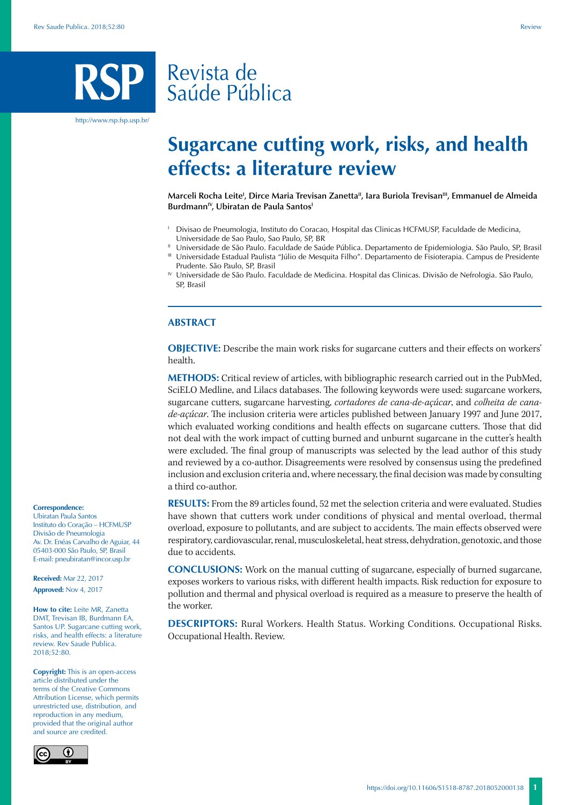# Revista de Saúde Pública

http://www.rsp.fsp.usp.br/

# **Sugarcane cutting work, risks, and health effects: a literature review**

Marceli Rocha Leite<sup>i</sup>, Dirce Maria Trevisan Zanetta", Iara Buriola Trevisan''', Emmanuel de Almeida Burdmann<sup>IV</sup>, Ubiratan de Paula Santos<sup>1</sup>

- <sup>1</sup> Divisao de Pneumologia, Instituto do Coracao, Hospital das Clinicas HCFMUSP, Faculdade de Medicina, Universidade de Sao Paulo, Sao Paulo, SP, BR
- II Universidade de São Paulo. Faculdade de Saúde Pública. Departamento de Epidemiologia. São Paulo, SP, Brasil III Universidade Estadual Paulista "Júlio de Mesquita Filho". Departamento de Fisioterapia. Campus de Presidente Prudente. São Paulo, SP, Brasil
- IV Universidade de São Paulo. Faculdade de Medicina. Hospital das Clinicas. Divisão de Nefrologia. São Paulo, SP, Brasil

## **ABSTRACT**

**OBJECTIVE:** Describe the main work risks for sugarcane cutters and their effects on workers' health.

**METHODS:** Critical review of articles, with bibliographic research carried out in the PubMed, SciELO Medline, and Lilacs databases. The following keywords were used: sugarcane workers, sugarcane cutters, sugarcane harvesting, *cortadores de cana-de-açúcar*, and *colheita de canade-açúcar*. The inclusion criteria were articles published between January 1997 and June 2017, which evaluated working conditions and health effects on sugarcane cutters. Those that did not deal with the work impact of cutting burned and unburnt sugarcane in the cutter's health were excluded. The final group of manuscripts was selected by the lead author of this study and reviewed by a co-author. Disagreements were resolved by consensus using the predefined inclusion and exclusion criteria and, where necessary, the final decision was made by consulting a third co-author.

**RESULTS:** From the 89 articles found, 52 met the selection criteria and were evaluated. Studies have shown that cutters work under conditions of physical and mental overload, thermal overload, exposure to pollutants, and are subject to accidents. The main effects observed were respiratory, cardiovascular, renal, musculoskeletal, heat stress, dehydration, genotoxic, and those due to accidents.

**CONCLUSIONS:** Work on the manual cutting of sugarcane, especially of burned sugarcane, exposes workers to various risks, with different health impacts. Risk reduction for exposure to pollution and thermal and physical overload is required as a measure to preserve the health of the worker.

**DESCRIPTORS:** Rural Workers. Health Status. Working Conditions. Occupational Risks. Occupational Health. Review.

#### **Correspondence:**

Ubiratan Paula Santos Instituto do Coração – HCFMUSP Divisão de Pneumologia Av. Dr. Enéas Carvalho de Aguiar, 44 05403-000 São Paulo, SP, Brasil E-mail: pneubiratan@incor.usp.br

**Received:** Mar 22, 2017 **Approved:** Nov 4, 2017

**How to cite:** Leite MR, Zanetta DMT, Trevisan IB, Burdmann EA, Santos UP. Sugarcane cutting work, risks, and health effects: a literature review. Rev Saude Publica. 2018;52:80.

**Copyright:** This is an open-access article distributed under the terms of the Creative Commons Attribution License, which permits unrestricted use, distribution, and reproduction in any medium, provided that the original author and source are credited.

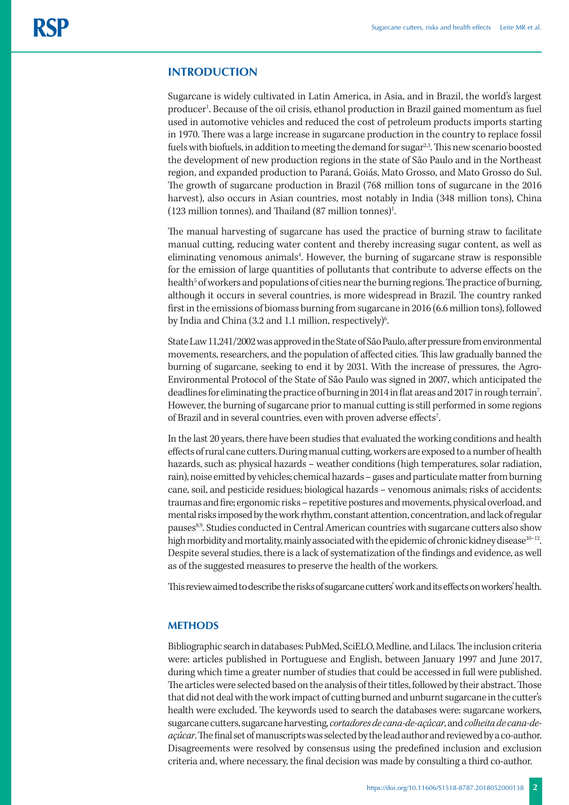# **INTRODUCTION**

Sugarcane is widely cultivated in Latin America, in Asia, and in Brazil, the world's largest producer<sup>1</sup>. Because of the oil crisis, ethanol production in Brazil gained momentum as fuel used in automotive vehicles and reduced the cost of petroleum products imports starting in 1970. There was a large increase in sugarcane production in the country to replace fossil fuels with biofuels, in addition to meeting the demand for sugar<sup>2,3</sup>. This new scenario boosted the development of new production regions in the state of São Paulo and in the Northeast region, and expanded production to Paraná, Goiás, Mato Grosso, and Mato Grosso do Sul. The growth of sugarcane production in Brazil (768 million tons of sugarcane in the 2016 harvest), also occurs in Asian countries, most notably in India (348 million tons), China  $(123$  million tonnes), and Thailand  $(87$  million tonnes)<sup>1</sup>. .

The manual harvesting of sugarcane has used the practice of burning straw to facilitate manual cutting, reducing water content and thereby increasing sugar content, as well as eliminating venomous animals<sup>4</sup>. However, the burning of sugarcane straw is responsible for the emission of large quantities of pollutants that contribute to adverse effects on the health<sup>5</sup> of workers and populations of cities near the burning regions. The practice of burning, although it occurs in several countries, is more widespread in Brazil. The country ranked first in the emissions of biomass burning from sugarcane in 2016 (6.6 million tons), followed by India and China (3.2 and 1.1 million, respectively)<sup>6</sup>. .

State Law 11,241/2002 was approved in the State of São Paulo, after pressure from environmental movements, researchers, and the population of affected cities. This law gradually banned the burning of sugarcane, seeking to end it by 2031. With the increase of pressures, the Agro-Environmental Protocol of the State of São Paulo was signed in 2007, which anticipated the deadlines for eliminating the practice of burning in 2014 in flat areas and 2017 in rough terrain<sup>7</sup>. However, the burning of sugarcane prior to manual cutting is still performed in some regions of Brazil and in several countries, even with proven adverse effects<sup>7</sup>. .

In the last 20 years, there have been studies that evaluated the working conditions and health effects of rural cane cutters. During manual cutting, workers are exposed to a number of health hazards, such as: physical hazards – weather conditions (high temperatures, solar radiation, rain), noise emitted by vehicles; chemical hazards – gases and particulate matter from burning cane, soil, and pesticide residues; biological hazards – venomous animals; risks of accidents: traumas and fire; ergonomic risks – repetitive postures and movements, physical overload, and mental risks imposed by the work rhythm, constant attention, concentration, and lack of regular pauses<sup>8,9</sup>. Studies conducted in Central American countries with sugarcane cutters also show high morbidity and mortality, mainly associated with the epidemic of chronic kidney disease<sup>10-12</sup>. Despite several studies, there is a lack of systematization of the findings and evidence, as well as of the suggested measures to preserve the health of the workers.

This review aimed to describe the risks of sugarcane cutters' work and its effects on workers' health.

# **METHODS**

Bibliographic search in databases: PubMed, SciELO, Medline, and Lilacs. The inclusion criteria were: articles published in Portuguese and English, between January 1997 and June 2017, during which time a greater number of studies that could be accessed in full were published. The articles were selected based on the analysis of their titles, followed by their abstract. Those that did not deal with the work impact of cutting burned and unburnt sugarcane in the cutter's health were excluded. The keywords used to search the databases were: sugarcane workers, sugarcane cutters, sugarcane harvesting, *cortadores de cana-de-açúcar*, and *colheita de cana-deaçúcar*. The final set of manuscripts was selected by the lead author and reviewed by a co-author. Disagreements were resolved by consensus using the predefined inclusion and exclusion criteria and, where necessary, the final decision was made by consulting a third co-author.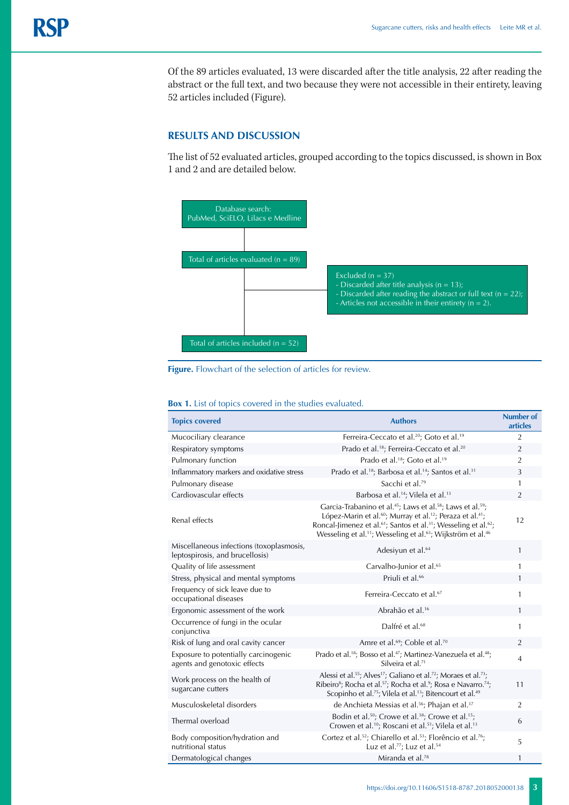Of the 89 articles evaluated, 13 were discarded after the title analysis, 22 after reading the abstract or the full text, and two because they were not accessible in their entirety, leaving 52 articles included (Figure).

# **RESULTS AND DISCUSSION**

The list of 52 evaluated articles, grouped according to the topics discussed, is shown in Box 1 and 2 and are detailed below.





| <b>Topics covered</b>                                                       | <b>Authors</b>                                                                                                                                                                                                                                                                                                                                                                                                | Number of<br>articles |
|-----------------------------------------------------------------------------|---------------------------------------------------------------------------------------------------------------------------------------------------------------------------------------------------------------------------------------------------------------------------------------------------------------------------------------------------------------------------------------------------------------|-----------------------|
| Mucociliary clearance                                                       | Ferreira-Ceccato et al. <sup>20</sup> ; Goto et al. <sup>19</sup>                                                                                                                                                                                                                                                                                                                                             | $\overline{2}$        |
| Respiratory symptoms                                                        | Prado et al. <sup>18</sup> ; Ferreira-Ceccato et al. <sup>20</sup>                                                                                                                                                                                                                                                                                                                                            | $\overline{2}$        |
| Pulmonary function                                                          | Prado et al. <sup>18</sup> ; Goto et al. <sup>19</sup>                                                                                                                                                                                                                                                                                                                                                        | $\overline{2}$        |
| Inflammatory markers and oxidative stress                                   | Prado et al. <sup>18</sup> ; Barbosa et al. <sup>14</sup> ; Santos et al. <sup>31</sup>                                                                                                                                                                                                                                                                                                                       | 3                     |
| Pulmonary disease                                                           | Sacchi et al. <sup>79</sup>                                                                                                                                                                                                                                                                                                                                                                                   | $\mathbf{1}$          |
| Cardiovascular effects                                                      | Barbosa et al. <sup>14</sup> ; Vilela et al. <sup>13</sup>                                                                                                                                                                                                                                                                                                                                                    | $\overline{2}$        |
| Renal effects                                                               | Garcia-Trabanino et al. <sup>45</sup> ; Laws et al. <sup>58</sup> ; Laws et al. <sup>59</sup> ;<br>López-Marin et al. <sup>60</sup> ; Murray et al. <sup>12</sup> ; Peraza et al. <sup>41</sup> ;<br>Roncal-Jimenez et al. <sup>61</sup> ; Santos et al. <sup>31</sup> ; Wesseling et al. <sup>62</sup> ;<br>Wesseling et al. <sup>11</sup> ; Wesseling et al. <sup>63</sup> ; Wijkström et al. <sup>46</sup> | 12                    |
| Miscellaneous infections (toxoplasmosis,<br>leptospirosis, and brucellosis) | Adesiyun et al. <sup>64</sup>                                                                                                                                                                                                                                                                                                                                                                                 | $\mathbf{1}$          |
| Quality of life assessment                                                  | Carvalho-Junior et al. <sup>65</sup>                                                                                                                                                                                                                                                                                                                                                                          | 1                     |
| Stress, physical and mental symptoms                                        | Priuli et al. <sup>66</sup>                                                                                                                                                                                                                                                                                                                                                                                   | $\mathbf{1}$          |
| Frequency of sick leave due to<br>occupational diseases                     | Ferreira-Ceccato et al. <sup>67</sup>                                                                                                                                                                                                                                                                                                                                                                         | 1                     |
| Ergonomic assessment of the work                                            | Abrahão et al. <sup>16</sup>                                                                                                                                                                                                                                                                                                                                                                                  | $\mathbf{1}$          |
| Occurrence of fungi in the ocular<br>conjunctiva                            | Dalfré et al. <sup>68</sup>                                                                                                                                                                                                                                                                                                                                                                                   | $\mathbf{1}$          |
| Risk of lung and oral cavity cancer                                         | Amre et al. <sup>69</sup> ; Coble et al. <sup>70</sup>                                                                                                                                                                                                                                                                                                                                                        | $\overline{2}$        |
| Exposure to potentially carcinogenic<br>agents and genotoxic effects        | Prado et al. <sup>18</sup> ; Bosso et al. <sup>47</sup> ; Martinez-Vanezuela et al. <sup>48</sup> ;<br>Silveira et al. <sup>71</sup>                                                                                                                                                                                                                                                                          | $\overline{4}$        |
| Work process on the health of<br>sugarcane cutters                          | Alessi et al. <sup>55</sup> ; Alves <sup>17</sup> ; Galiano et al. <sup>72</sup> ; Moraes et al. <sup>73</sup> ;<br>Ribeiro <sup>8</sup> ; Rocha et al. <sup>57</sup> ; Rocha et al. <sup>9</sup> ; Rosa e Navarro. <sup>74</sup> ;<br>Scopinho et al. <sup>75</sup> ; Vilela et al. <sup>13</sup> ; Bitencourt et al. <sup>49</sup>                                                                          | 11                    |
| Musculoskeletal disorders                                                   | de Anchieta Messias et al. <sup>56</sup> ; Phajan et al. <sup>37</sup>                                                                                                                                                                                                                                                                                                                                        | 2                     |
| Thermal overload                                                            | Bodin et al. <sup>50</sup> ; Crowe et al. <sup>38</sup> ; Crowe et al. <sup>15</sup> ;<br>Crowen et al. <sup>10</sup> ; Roscani et al. <sup>51</sup> ; Vilela et al. <sup>13</sup>                                                                                                                                                                                                                            | 6                     |
| Body composition/hydration and<br>nutritional status                        | Cortez et al. <sup>52</sup> ; Chiarello et al. <sup>53</sup> ; Florêncio et al. <sup>76</sup> ;<br>Luz et al. <sup>77</sup> ; Luz et al. <sup>54</sup>                                                                                                                                                                                                                                                        | 5                     |
| Dermatological changes                                                      | Miranda et al. <sup>78</sup>                                                                                                                                                                                                                                                                                                                                                                                  | $\mathbf{1}$          |

# **Box 1.** List of topics covered in the studies evaluated.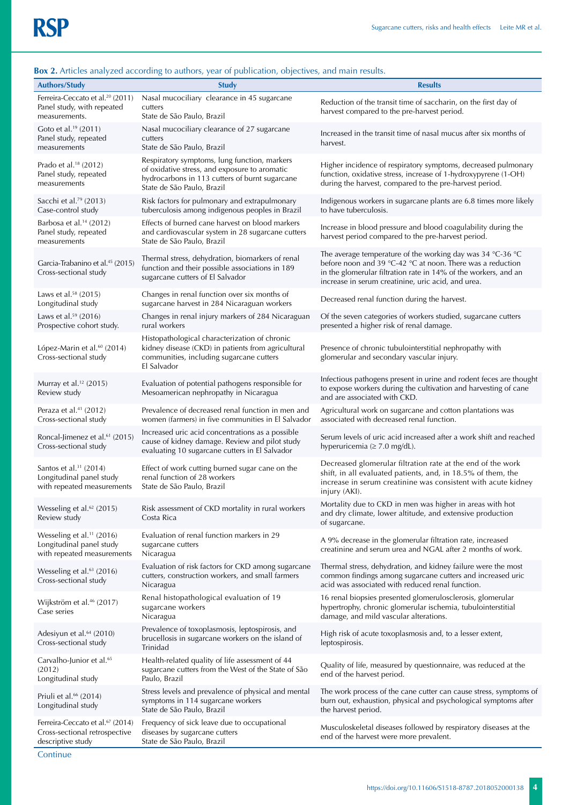# **Box 2.** Articles analyzed according to authors, year of publication, objectives, and main results.

|                                                                                                    | <b>box 2.</b> There's analyzed according to addition, year or publication, objectives, and main results.                                                                      |                                                                                                                                                                                                                                                   |
|----------------------------------------------------------------------------------------------------|-------------------------------------------------------------------------------------------------------------------------------------------------------------------------------|---------------------------------------------------------------------------------------------------------------------------------------------------------------------------------------------------------------------------------------------------|
| <b>Authors/Study</b>                                                                               | <b>Study</b>                                                                                                                                                                  | <b>Results</b>                                                                                                                                                                                                                                    |
| Ferreira-Ceccato et al. <sup>20</sup> (2011)<br>Panel study, with repeated<br>measurements.        | Nasal mucociliary clearance in 45 sugarcane<br>cutters<br>State de São Paulo, Brazil                                                                                          | Reduction of the transit time of saccharin, on the first day of<br>harvest compared to the pre-harvest period.                                                                                                                                    |
| Goto et al. <sup>19</sup> (2011)<br>Panel study, repeated<br>measurements                          | Nasal mucociliary clearance of 27 sugarcane<br>cutters<br>State de São Paulo, Brazil                                                                                          | Increased in the transit time of nasal mucus after six months of<br>harvest.                                                                                                                                                                      |
| Prado et al. <sup>18</sup> (2012)<br>Panel study, repeated<br>measurements                         | Respiratory symptoms, lung function, markers<br>of oxidative stress, and exposure to aromatic<br>hydrocarbons in 113 cutters of burnt sugarcane<br>State de São Paulo, Brazil | Higher incidence of respiratory symptoms, decreased pulmonary<br>function, oxidative stress, increase of 1-hydroxypyrene (1-OH)<br>during the harvest, compared to the pre-harvest period.                                                        |
| Sacchi et al. <sup>79</sup> (2013)<br>Case-control study                                           | Risk factors for pulmonary and extrapulmonary<br>tuberculosis among indigenous peoples in Brazil                                                                              | Indigenous workers in sugarcane plants are 6.8 times more likely<br>to have tuberculosis.                                                                                                                                                         |
| Barbosa et al. <sup>14</sup> (2012)<br>Panel study, repeated<br>measurements                       | Effects of burned cane harvest on blood markers<br>and cardiovascular system in 28 sugarcane cutters<br>State de São Paulo, Brazil                                            | Increase in blood pressure and blood coagulability during the<br>harvest period compared to the pre-harvest period.                                                                                                                               |
| Garcia-Trabanino et al. <sup>45</sup> (2015)<br>Cross-sectional study                              | Thermal stress, dehydration, biomarkers of renal<br>function and their possible associations in 189<br>sugarcane cutters of El Salvador                                       | The average temperature of the working day was 34 °C-36 °C<br>before noon and 39 °C-42 °C at noon. There was a reduction<br>in the glomerular filtration rate in 14% of the workers, and an<br>increase in serum creatinine, uric acid, and urea. |
| Laws et al. <sup>58</sup> (2015)<br>Longitudinal study                                             | Changes in renal function over six months of<br>sugarcane harvest in 284 Nicaraguan workers                                                                                   | Decreased renal function during the harvest.                                                                                                                                                                                                      |
| Laws et al. <sup>59</sup> (2016)<br>Prospective cohort study.                                      | Changes in renal injury markers of 284 Nicaraguan<br>rural workers                                                                                                            | Of the seven categories of workers studied, sugarcane cutters<br>presented a higher risk of renal damage.                                                                                                                                         |
| López-Marin et al. <sup>60</sup> (2014)<br>Cross-sectional study                                   | Histopathological characterization of chronic<br>kidney disease (CKD) in patients from agricultural<br>communities, including sugarcane cutters<br>El Salvador                | Presence of chronic tubulointerstitial nephropathy with<br>glomerular and secondary vascular injury.                                                                                                                                              |
| Murray et al. <sup>12</sup> (2015)<br>Review study                                                 | Evaluation of potential pathogens responsible for<br>Mesoamerican nephropathy in Nicaragua                                                                                    | Infectious pathogens present in urine and rodent feces are thought<br>to expose workers during the cultivation and harvesting of cane<br>and are associated with CKD.                                                                             |
| Peraza et al. <sup>41</sup> (2012)<br>Cross-sectional study                                        | Prevalence of decreased renal function in men and<br>women (farmers) in five communities in El Salvador                                                                       | Agricultural work on sugarcane and cotton plantations was<br>associated with decreased renal function.                                                                                                                                            |
| Roncal-Jimenez et al. <sup>61</sup> (2015)<br>Cross-sectional study                                | Increased uric acid concentrations as a possible<br>cause of kidney damage. Review and pilot study<br>evaluating 10 sugarcane cutters in El Salvador                          | Serum levels of uric acid increased after a work shift and reached<br>hyperuricemia $(≥ 7.0$ mg/dL).                                                                                                                                              |
| Santos et al. <sup>31</sup> (2014)<br>Longitudinal panel study<br>with repeated measurements       | Effect of work cutting burned sugar cane on the<br>renal function of 28 workers<br>State de São Paulo, Brazil                                                                 | Decreased glomerular filtration rate at the end of the work<br>shift, in all evaluated patients, and, in 18.5% of them, the<br>increase in serum creatinine was consistent with acute kidney<br>injury (AKI).                                     |
| Wesseling et al. <sup>62</sup> (2015)<br>Review study                                              | Risk assessment of CKD mortality in rural workers<br>Costa Rica                                                                                                               | Mortality due to CKD in men was higher in areas with hot<br>and dry climate, lower altitude, and extensive production<br>of sugarcane.                                                                                                            |
| Wesseling et al. <sup>11</sup> (2016)<br>Longitudinal panel study<br>with repeated measurements    | Evaluation of renal function markers in 29<br>sugarcane cutters<br>Nicaragua                                                                                                  | A 9% decrease in the glomerular filtration rate, increased<br>creatinine and serum urea and NGAL after 2 months of work.                                                                                                                          |
| Wesseling et al. <sup>63</sup> (2016)<br>Cross-sectional study                                     | Evaluation of risk factors for CKD among sugarcane<br>cutters, construction workers, and small farmers<br>Nicaragua                                                           | Thermal stress, dehydration, and kidney failure were the most<br>common findings among sugarcane cutters and increased uric<br>acid was associated with reduced renal function.                                                                   |
| Wijkström et al. <sup>46</sup> (2017)<br>Case series                                               | Renal histopathological evaluation of 19<br>sugarcane workers<br>Nicaragua                                                                                                    | 16 renal biopsies presented glomerulosclerosis, glomerular<br>hypertrophy, chronic glomerular ischemia, tubulointerstitial<br>damage, and mild vascular alterations.                                                                              |
| Adesiyun et al. <sup>64</sup> (2010)<br>Cross-sectional study                                      | Prevalence of toxoplasmosis, leptospirosis, and<br>brucellosis in sugarcane workers on the island of<br>Trinidad                                                              | High risk of acute toxoplasmosis and, to a lesser extent,<br>leptospirosis.                                                                                                                                                                       |
| Carvalho-Junior et al. <sup>65</sup><br>(2012)<br>Longitudinal study                               | Health-related quality of life assessment of 44<br>sugarcane cutters from the West of the State of São<br>Paulo, Brazil                                                       | Quality of life, measured by questionnaire, was reduced at the<br>end of the harvest period.                                                                                                                                                      |
| Priuli et al. <sup>66</sup> (2014)<br>Longitudinal study                                           | Stress levels and prevalence of physical and mental<br>symptoms in 114 sugarcane workers<br>State de São Paulo, Brazil                                                        | The work process of the cane cutter can cause stress, symptoms of<br>burn out, exhaustion, physical and psychological symptoms after<br>the harvest period.                                                                                       |
| Ferreira-Ceccato et al. <sup>67</sup> (2014)<br>Cross-sectional retrospective<br>descriptive study | Frequency of sick leave due to occupational<br>diseases by sugarcane cutters<br>State de São Paulo, Brazil                                                                    | Musculoskeletal diseases followed by respiratory diseases at the<br>end of the harvest were more prevalent.                                                                                                                                       |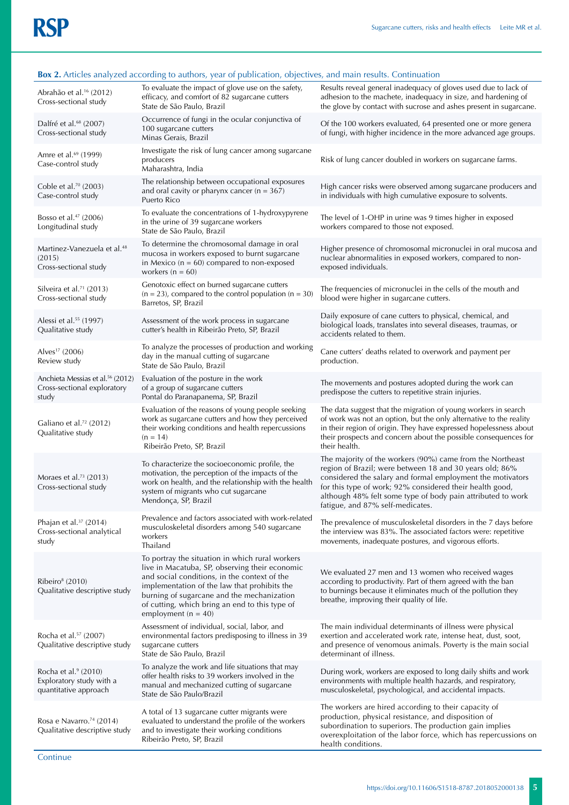| <b>Box 2.</b> Articles analyzed according to authors, year of publication, objectives, and main results. Continuation |                                                                                                                                                                                                                                                                                                                              |                                                                                                                                                                                                                                                                                                                                                   |  |  |
|-----------------------------------------------------------------------------------------------------------------------|------------------------------------------------------------------------------------------------------------------------------------------------------------------------------------------------------------------------------------------------------------------------------------------------------------------------------|---------------------------------------------------------------------------------------------------------------------------------------------------------------------------------------------------------------------------------------------------------------------------------------------------------------------------------------------------|--|--|
| Abrahão et al. <sup>16</sup> (2012)<br>Cross-sectional study                                                          | To evaluate the impact of glove use on the safety,<br>efficacy, and comfort of 82 sugarcane cutters<br>State de São Paulo, Brazil                                                                                                                                                                                            | Results reveal general inadequacy of gloves used due to lack of<br>adhesion to the machete, inadequacy in size, and hardening of<br>the glove by contact with sucrose and ashes present in sugarcane.                                                                                                                                             |  |  |
| Dalfré et al. <sup>68</sup> (2007)<br>Cross-sectional study                                                           | Occurrence of fungi in the ocular conjunctiva of<br>100 sugarcane cutters<br>Minas Gerais, Brazil                                                                                                                                                                                                                            | Of the 100 workers evaluated, 64 presented one or more genera<br>of fungi, with higher incidence in the more advanced age groups.                                                                                                                                                                                                                 |  |  |
| Amre et al. <sup>69</sup> (1999)<br>Case-control study                                                                | Investigate the risk of lung cancer among sugarcane<br>producers<br>Maharashtra, India                                                                                                                                                                                                                                       | Risk of lung cancer doubled in workers on sugarcane farms.                                                                                                                                                                                                                                                                                        |  |  |
| Coble et al. <sup>70</sup> (2003)<br>Case-control study                                                               | The relationship between occupational exposures<br>and oral cavity or pharynx cancer ( $n = 367$ )<br>Puerto Rico                                                                                                                                                                                                            | High cancer risks were observed among sugarcane producers and<br>in individuals with high cumulative exposure to solvents.                                                                                                                                                                                                                        |  |  |
| Bosso et al. <sup>47</sup> (2006)<br>Longitudinal study                                                               | To evaluate the concentrations of 1-hydroxypyrene<br>in the urine of 39 sugarcane workers<br>State de São Paulo, Brazil                                                                                                                                                                                                      | The level of 1-OHP in urine was 9 times higher in exposed<br>workers compared to those not exposed.                                                                                                                                                                                                                                               |  |  |
| Martinez-Vanezuela et al. <sup>48</sup><br>(2015)<br>Cross-sectional study                                            | To determine the chromosomal damage in oral<br>mucosa in workers exposed to burnt sugarcane<br>in Mexico ( $n = 60$ ) compared to non-exposed<br>workers ( $n = 60$ )                                                                                                                                                        | Higher presence of chromosomal micronuclei in oral mucosa and<br>nuclear abnormalities in exposed workers, compared to non-<br>exposed individuals.                                                                                                                                                                                               |  |  |
| Silveira et al. <sup>71</sup> (2013)<br>Cross-sectional study                                                         | Genotoxic effect on burned sugarcane cutters<br>$(n = 23)$ , compared to the control population $(n = 30)$<br>Barretos, SP, Brazil                                                                                                                                                                                           | The frequencies of micronuclei in the cells of the mouth and<br>blood were higher in sugarcane cutters.                                                                                                                                                                                                                                           |  |  |
| Alessi et al. <sup>55</sup> (1997)<br>Qualitative study                                                               | Assessment of the work process in sugarcane<br>cutter's health in Ribeirão Preto, SP, Brazil                                                                                                                                                                                                                                 | Daily exposure of cane cutters to physical, chemical, and<br>biological loads, translates into several diseases, traumas, or<br>accidents related to them.                                                                                                                                                                                        |  |  |
| Alves <sup>17</sup> (2006)<br>Review study                                                                            | To analyze the processes of production and working<br>day in the manual cutting of sugarcane<br>State de São Paulo, Brazil                                                                                                                                                                                                   | Cane cutters' deaths related to overwork and payment per<br>production.                                                                                                                                                                                                                                                                           |  |  |
| Anchieta Messias et al. <sup>56</sup> (2012)<br>Cross-sectional exploratory<br>study                                  | Evaluation of the posture in the work<br>of a group of sugarcane cutters<br>Pontal do Paranapanema, SP, Brazil                                                                                                                                                                                                               | The movements and postures adopted during the work can<br>predispose the cutters to repetitive strain injuries.                                                                                                                                                                                                                                   |  |  |
| Galiano et al. <sup>72</sup> (2012)<br>Qualitative study                                                              | Evaluation of the reasons of young people seeking<br>work as sugarcane cutters and how they perceived<br>their working conditions and health repercussions<br>$(n = 14)$<br>Ribeirão Preto, SP, Brazil                                                                                                                       | The data suggest that the migration of young workers in search<br>of work was not an option, but the only alternative to the reality<br>in their region of origin. They have expressed hopelessness about<br>their prospects and concern about the possible consequences for<br>their health.                                                     |  |  |
| Moraes et al. <sup>73</sup> $(2013)$<br>Cross-sectional study                                                         | To characterize the socioeconomic profile, the<br>motivation, the perception of the impacts of the<br>work on health, and the relationship with the health<br>system of migrants who cut sugarcane<br>Mendonça, SP, Brazil                                                                                                   | The majority of the workers (90%) came from the Northeast<br>region of Brazil; were between 18 and 30 years old; 86%<br>considered the salary and formal employment the motivators<br>for this type of work; 92% considered their health good,<br>although 48% felt some type of body pain attributed to work<br>fatigue, and 87% self-medicates. |  |  |
| Phajan et al. <sup>37</sup> (2014)<br>Cross-sectional analytical<br>study                                             | Prevalence and factors associated with work-related<br>musculoskeletal disorders among 540 sugarcane<br>workers<br>Thailand                                                                                                                                                                                                  | The prevalence of musculoskeletal disorders in the 7 days before<br>the interview was 83%. The associated factors were: repetitive<br>movements, inadequate postures, and vigorous efforts.                                                                                                                                                       |  |  |
| Ribeiro <sup>8</sup> (2010)<br>Qualitative descriptive study                                                          | To portray the situation in which rural workers<br>live in Macatuba, SP, observing their economic<br>and social conditions, in the context of the<br>implementation of the law that prohibits the<br>burning of sugarcane and the mechanization<br>of cutting, which bring an end to this type of<br>employment ( $n = 40$ ) | We evaluated 27 men and 13 women who received wages<br>according to productivity. Part of them agreed with the ban<br>to burnings because it eliminates much of the pollution they<br>breathe, improving their quality of life.                                                                                                                   |  |  |
| Rocha et al. <sup>57</sup> (2007)<br>Qualitative descriptive study                                                    | Assessment of individual, social, labor, and<br>environmental factors predisposing to illness in 39<br>sugarcane cutters<br>State de São Paulo, Brazil                                                                                                                                                                       | The main individual determinants of illness were physical<br>exertion and accelerated work rate, intense heat, dust, soot,<br>and presence of venomous animals. Poverty is the main social<br>determinant of illness.                                                                                                                             |  |  |
| Rocha et al. $(2010)$<br>Exploratory study with a<br>quantitative approach                                            | To analyze the work and life situations that may<br>offer health risks to 39 workers involved in the<br>manual and mechanized cutting of sugarcane<br>State de São Paulo/Brazil                                                                                                                                              | During work, workers are exposed to long daily shifts and work<br>environments with multiple health hazards, and respiratory,<br>musculoskeletal, psychological, and accidental impacts.                                                                                                                                                          |  |  |
| Rosa e Navarro. <sup>74</sup> (2014)<br>Qualitative descriptive study                                                 | A total of 13 sugarcane cutter migrants were<br>evaluated to understand the profile of the workers<br>and to investigate their working conditions<br>Ribeirão Preto, SP, Brazil                                                                                                                                              | The workers are hired according to their capacity of<br>production, physical resistance, and disposition of<br>subordination to superiors. The production gain implies<br>overexploitation of the labor force, which has repercussions on<br>health conditions.                                                                                   |  |  |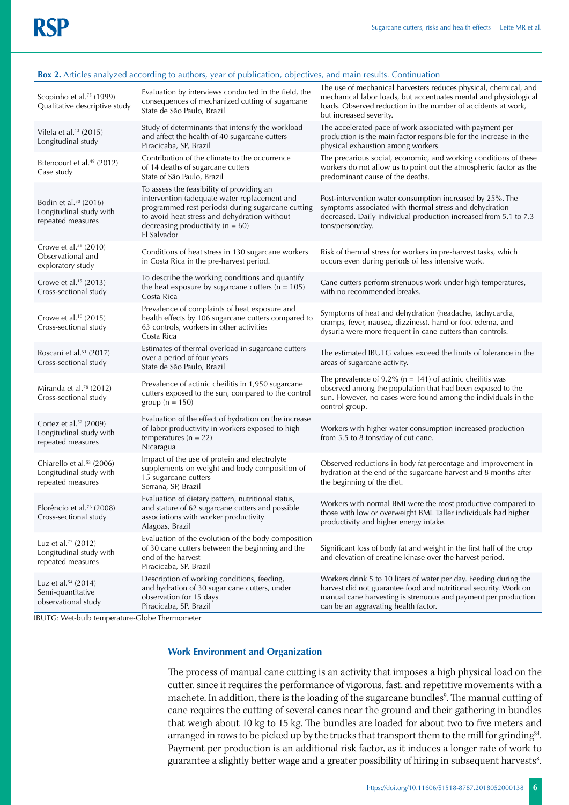#### Scopinho et al.<sup>75</sup> (1999) Qualitative descriptive study Evaluation by interviews conducted in the field, the consequences of mechanized cutting of sugarcane State de São Paulo, Brazil The use of mechanical harvesters reduces physical, chemical, and mechanical labor loads, but accentuates mental and physiological loads. Observed reduction in the number of accidents at work, but increased severity. Vilela et al.13 (2015) Longitudinal study Study of determinants that intensify the workload and affect the health of 40 sugarcane cutters Piracicaba, SP, Brazil The accelerated pace of work associated with payment per production is the main factor responsible for the increase in the physical exhaustion among workers. Bitencourt et al.49 (2012) Case study Contribution of the climate to the occurrence of 14 deaths of sugarcane cutters State of São Paulo, Brazil The precarious social, economic, and working conditions of these workers do not allow us to point out the atmospheric factor as the predominant cause of the deaths. Bodin et al.50 (2016) Longitudinal study with repeated measures To assess the feasibility of providing an intervention (adequate water replacement and programmed rest periods) during sugarcane cutting to avoid heat stress and dehydration without decreasing productivity  $(n = 60)$ El Salvador Post-intervention water consumption increased by 25%. The symptoms associated with thermal stress and dehydration decreased. Daily individual production increased from 5.1 to 7.3 tons/person/day. Crowe et al.38 (2010) Observational and exploratory study Conditions of heat stress in 130 sugarcane workers in Costa Rica in the pre-harvest period. Risk of thermal stress for workers in pre-harvest tasks, which occurs even during periods of less intensive work. Crowe et al.15 (2013) Cross-sectional study To describe the working conditions and quantify the heat exposure by sugarcane cutters  $(n = 105)$ Costa Rica Cane cutters perform strenuous work under high temperatures, with no recommended breaks. Crowe et al.10 (2015) Cross-sectional study Prevalence of complaints of heat exposure and health effects by 106 sugarcane cutters compared to 63 controls, workers in other activities Costa Rica Symptoms of heat and dehydration (headache, tachycardia, cramps, fever, nausea, dizziness), hand or foot edema, and dysuria were more frequent in cane cutters than controls. Roscani et al.51 (2017) Cross-sectional study Estimates of thermal overload in sugarcane cutters over a period of four years State de São Paulo, Brazil The estimated IBUTG values exceed the limits of tolerance in the areas of sugarcane activity. Miranda et al.<sup>78</sup> (2012) Cross-sectional study Prevalence of actinic cheilitis in 1,950 sugarcane cutters exposed to the sun, compared to the control group ( $n = 150$ ) The prevalence of 9.2% ( $n = 141$ ) of actinic cheilitis was observed among the population that had been exposed to the sun. However, no cases were found among the individuals in the control group. Cortez et al.<sup>52</sup> (2009) Longitudinal study with repeated measures Evaluation of the effect of hydration on the increase of labor productivity in workers exposed to high temperatures ( $n = 22$ ) Nicaragua Workers with higher water consumption increased production from 5.5 to 8 tons/day of cut cane. Chiarello et al.<sup>53</sup> (2006) Longitudinal study with repeated measures Impact of the use of protein and electrolyte supplements on weight and body composition of 15 sugarcane cutters Serrana, SP, Brazil Observed reductions in body fat percentage and improvement in hydration at the end of the sugarcane harvest and 8 months after the beginning of the diet. Florêncio et al.76 (2008) Cross-sectional study Evaluation of dietary pattern, nutritional status, and stature of 62 sugarcane cutters and possible associations with worker productivity Alagoas, Brazil Workers with normal BMI were the most productive compared to those with low or overweight BMI. Taller individuals had higher productivity and higher energy intake. Luz et al.<sup>77</sup> (2012) Longitudinal study with repeated measures Evaluation of the evolution of the body composition of 30 cane cutters between the beginning and the end of the harvest Piracicaba, SP, Brazil Significant loss of body fat and weight in the first half of the crop and elevation of creatine kinase over the harvest period. Luz et al.54 (2014) Semi-quantitative observational study Description of working conditions, feeding, and hydration of 30 sugar cane cutters, under observation for 15 days Piracicaba, SP, Brazil Workers drink 5 to 10 liters of water per day. Feeding during the harvest did not guarantee food and nutritional security. Work on manual cane harvesting is strenuous and payment per production can be an aggravating health factor.

#### **Box 2.** Articles analyzed according to authors, year of publication, objectives, and main results. Continuation

IBUTG: Wet-bulb temperature-Globe Thermometer

# **Work Environment and Organization**

The process of manual cane cutting is an activity that imposes a high physical load on the cutter, since it requires the performance of vigorous, fast, and repetitive movements with a machete. In addition, there is the loading of the sugarcane bundles<sup>9</sup>. The manual cutting of cane requires the cutting of several canes near the ground and their gathering in bundles that weigh about 10 kg to 15 kg. The bundles are loaded for about two to five meters and arranged in rows to be picked up by the trucks that transport them to the mill for grinding<sup>34</sup>. Payment per production is an additional risk factor, as it induces a longer rate of work to guarantee a slightly better wage and a greater possibility of hiring in subsequent harvests<sup>8</sup>. .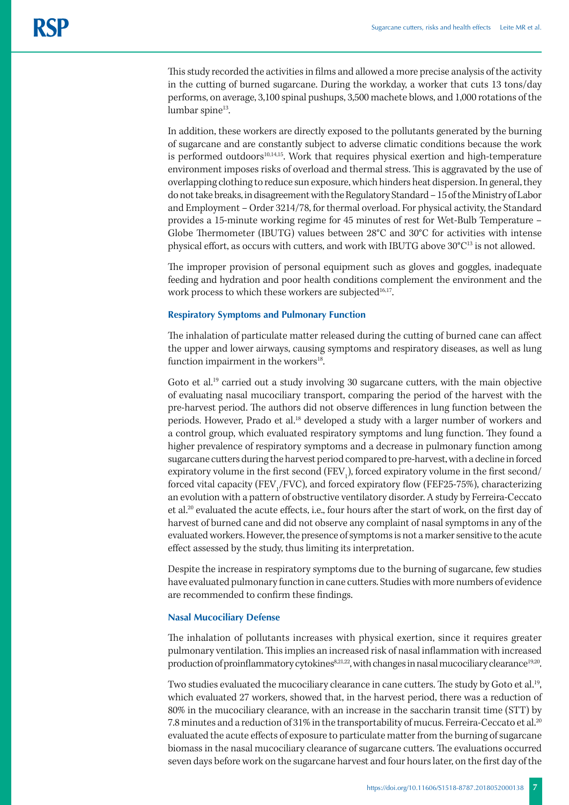This study recorded the activities in films and allowed a more precise analysis of the activity in the cutting of burned sugarcane. During the workday, a worker that cuts 13 tons/day performs, on average, 3,100 spinal pushups, 3,500 machete blows, and 1,000 rotations of the lumbar spine<sup>13</sup>.

In addition, these workers are directly exposed to the pollutants generated by the burning of sugarcane and are constantly subject to adverse climatic conditions because the work is performed outdoors<sup>10,14,15</sup>. Work that requires physical exertion and high-temperature environment imposes risks of overload and thermal stress. This is aggravated by the use of overlapping clothing to reduce sun exposure, which hinders heat dispersion. In general, they do not take breaks, in disagreement with the Regulatory Standard – 15 of the Ministry of Labor and Employment – Order 3214/78, for thermal overload. For physical activity, the Standard provides a 15-minute working regime for 45 minutes of rest for Wet-Bulb Temperature – Globe Thermometer (IBUTG) values between 28°C and 30°C for activities with intense physical effort, as occurs with cutters, and work with IBUTG above 30°C<sup>13</sup> is not allowed.

The improper provision of personal equipment such as gloves and goggles, inadequate feeding and hydration and poor health conditions complement the environment and the work process to which these workers are subjected<sup>16,17</sup>.

# **Respiratory Symptoms and Pulmonary Function**

The inhalation of particulate matter released during the cutting of burned cane can affect the upper and lower airways, causing symptoms and respiratory diseases, as well as lung function impairment in the workers<sup>18</sup>.

Goto et al.<sup>19</sup> carried out a study involving 30 sugarcane cutters, with the main objective of evaluating nasal mucociliary transport, comparing the period of the harvest with the pre-harvest period. The authors did not observe differences in lung function between the periods. However, Prado et al.18 developed a study with a larger number of workers and a control group, which evaluated respiratory symptoms and lung function. They found a higher prevalence of respiratory symptoms and a decrease in pulmonary function among sugarcane cutters during the harvest period compared to pre-harvest, with a decline in forced expiratory volume in the first second (FEV<sub>1</sub>), forced expiratory volume in the first second/ forced vital capacity (FEV<sub>1</sub>/FVC), and forced expiratory flow (FEF25-75%), characterizing an evolution with a pattern of obstructive ventilatory disorder. A study by Ferreira-Ceccato et al.20 evaluated the acute effects, i.e., four hours after the start of work, on the first day of harvest of burned cane and did not observe any complaint of nasal symptoms in any of the evaluated workers. However, the presence of symptoms is not a marker sensitive to the acute effect assessed by the study, thus limiting its interpretation.

Despite the increase in respiratory symptoms due to the burning of sugarcane, few studies have evaluated pulmonary function in cane cutters. Studies with more numbers of evidence are recommended to confirm these findings.

### **Nasal Mucociliary Defense**

The inhalation of pollutants increases with physical exertion, since it requires greater pulmonary ventilation. This implies an increased risk of nasal inflammation with increased production of proinflammatory cytokines8,21,22, with changes in nasal mucociliary clearance<sup>19,20</sup>.

Two studies evaluated the mucociliary clearance in cane cutters. The study by Goto et al.<sup>19</sup>, which evaluated 27 workers, showed that, in the harvest period, there was a reduction of 80% in the mucociliary clearance, with an increase in the saccharin transit time (STT) by 7.8 minutes and a reduction of 31% in the transportability of mucus. Ferreira-Ceccato et al.20 evaluated the acute effects of exposure to particulate matter from the burning of sugarcane biomass in the nasal mucociliary clearance of sugarcane cutters. The evaluations occurred seven days before work on the sugarcane harvest and four hours later, on the first day of the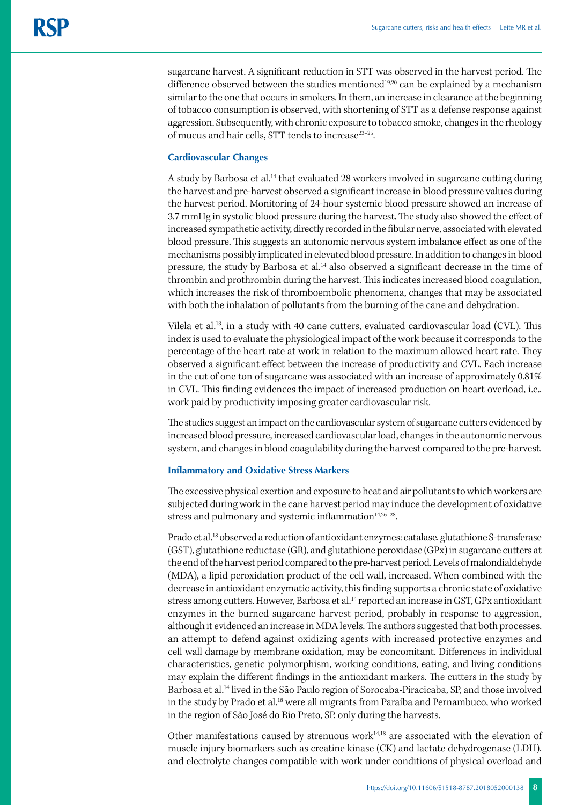sugarcane harvest. A significant reduction in STT was observed in the harvest period. The difference observed between the studies mentioned<sup>19,20</sup> can be explained by a mechanism similar to the one that occurs in smokers. In them, an increase in clearance at the beginning of tobacco consumption is observed, with shortening of STT as a defense response against aggression. Subsequently, with chronic exposure to tobacco smoke, changes in the rheology of mucus and hair cells, STT tends to increase<sup>23-25</sup>.

# **Cardiovascular Changes**

A study by Barbosa et al.14 that evaluated 28 workers involved in sugarcane cutting during the harvest and pre-harvest observed a significant increase in blood pressure values during the harvest period. Monitoring of 24-hour systemic blood pressure showed an increase of 3.7 mmHg in systolic blood pressure during the harvest. The study also showed the effect of increased sympathetic activity, directly recorded in the fibular nerve, associated with elevated blood pressure. This suggests an autonomic nervous system imbalance effect as one of the mechanisms possibly implicated in elevated blood pressure. In addition to changes in blood pressure, the study by Barbosa et al.14 also observed a significant decrease in the time of thrombin and prothrombin during the harvest. This indicates increased blood coagulation, which increases the risk of thromboembolic phenomena, changes that may be associated with both the inhalation of pollutants from the burning of the cane and dehydration.

Vilela et al.13, in a study with 40 cane cutters, evaluated cardiovascular load (CVL). This index is used to evaluate the physiological impact of the work because it corresponds to the percentage of the heart rate at work in relation to the maximum allowed heart rate. They observed a significant effect between the increase of productivity and CVL. Each increase in the cut of one ton of sugarcane was associated with an increase of approximately 0.81% in CVL. This finding evidences the impact of increased production on heart overload, i.e., work paid by productivity imposing greater cardiovascular risk.

The studies suggest an impact on the cardiovascular system of sugarcane cutters evidenced by increased blood pressure, increased cardiovascular load, changes in the autonomic nervous system, and changes in blood coagulability during the harvest compared to the pre-harvest.

### **Inflammatory and Oxidative Stress Markers**

The excessive physical exertion and exposure to heat and air pollutants to which workers are subjected during work in the cane harvest period may induce the development of oxidative stress and pulmonary and systemic inflammation $14,26-28$ .

Prado et al.18 observed a reduction of antioxidant enzymes: catalase, glutathione S-transferase (GST), glutathione reductase (GR), and glutathione peroxidase (GPx) in sugarcane cutters at the end of the harvest period compared to the pre-harvest period. Levels of malondialdehyde (MDA), a lipid peroxidation product of the cell wall, increased. When combined with the decrease in antioxidant enzymatic activity, this finding supports a chronic state of oxidative stress among cutters. However, Barbosa et al.14 reported an increase in GST, GPx antioxidant enzymes in the burned sugarcane harvest period, probably in response to aggression, although it evidenced an increase in MDA levels. The authors suggested that both processes, an attempt to defend against oxidizing agents with increased protective enzymes and cell wall damage by membrane oxidation, may be concomitant. Differences in individual characteristics, genetic polymorphism, working conditions, eating, and living conditions may explain the different findings in the antioxidant markers. The cutters in the study by Barbosa et al.14 lived in the São Paulo region of Sorocaba-Piracicaba, SP, and those involved in the study by Prado et al.18 were all migrants from Paraíba and Pernambuco, who worked in the region of São José do Rio Preto, SP, only during the harvests.

Other manifestations caused by strenuous work $14,18$  are associated with the elevation of muscle injury biomarkers such as creatine kinase (CK) and lactate dehydrogenase (LDH), and electrolyte changes compatible with work under conditions of physical overload and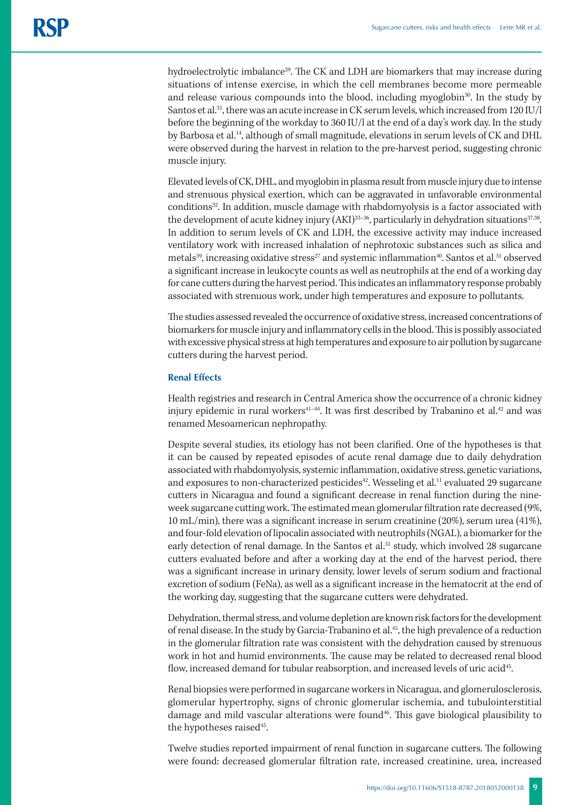hydroelectrolytic imbalance<sup>29</sup>. The CK and LDH are biomarkers that may increase during situations of intense exercise, in which the cell membranes become more permeable and release various compounds into the blood, including myoglobin<sup>30</sup>. In the study by Santos et al.<sup>31</sup>, there was an acute increase in CK serum levels, which increased from 120 IU/l before the beginning of the workday to 360 IU/l at the end of a day's work day. In the study by Barbosa et al.<sup>14</sup>, although of small magnitude, elevations in serum levels of CK and DHL were observed during the harvest in relation to the pre-harvest period, suggesting chronic muscle injury.

Elevated levels of CK, DHL, and myoglobin in plasma result from muscle injury due to intense and strenuous physical exertion, which can be aggravated in unfavorable environmental conditions<sup>32</sup>. In addition, muscle damage with rhabdomyolysis is a factor associated with the development of acute kidney injury (AKI)<sup>33-36</sup>, particularly in dehydration situations<sup>37,38</sup>. In addition to serum levels of CK and LDH, the excessive activity may induce increased ventilatory work with increased inhalation of nephrotoxic substances such as silica and metals<sup>39</sup>, increasing oxidative stress<sup>27</sup> and systemic inflammation<sup>40</sup>. Santos et al.<sup>31</sup> observed a significant increase in leukocyte counts as well as neutrophils at the end of a working day for cane cutters during the harvest period. This indicates an inflammatory response probably associated with strenuous work, under high temperatures and exposure to pollutants.

The studies assessed revealed the occurrence of oxidative stress, increased concentrations of biomarkers for muscle injury and inflammatory cells in the blood. This is possibly associated with excessive physical stress at high temperatures and exposure to air pollution by sugarcane cutters during the harvest period.

### **Renal Effects**

Health registries and research in Central America show the occurrence of a chronic kidney injury epidemic in rural workers<sup>41-44</sup>. It was first described by Trabanino et al.<sup>42</sup> and was renamed Mesoamerican nephropathy.

Despite several studies, its etiology has not been clarified. One of the hypotheses is that it can be caused by repeated episodes of acute renal damage due to daily dehydration associated with rhabdomyolysis, systemic inflammation, oxidative stress, genetic variations, and exposures to non-characterized pesticides<sup>42</sup>. Wesseling et al.<sup>11</sup> evaluated 29 sugarcane cutters in Nicaragua and found a significant decrease in renal function during the nineweek sugarcane cutting work. The estimated mean glomerular filtration rate decreased (9%, 10 mL/min), there was a significant increase in serum creatinine (20%), serum urea (41%), and four-fold elevation of lipocalin associated with neutrophils (NGAL), a biomarker for the early detection of renal damage. In the Santos et al.<sup>31</sup> study, which involved 28 sugarcane cutters evaluated before and after a working day at the end of the harvest period, there was a significant increase in urinary density, lower levels of serum sodium and fractional excretion of sodium (FeNa), as well as a significant increase in the hematocrit at the end of the working day, suggesting that the sugarcane cutters were dehydrated.

Dehydration, thermal stress, and volume depletion are known risk factors for the development of renal disease. In the study by Garcia-Trabanino et al.<sup>45</sup>, the high prevalence of a reduction in the glomerular filtration rate was consistent with the dehydration caused by strenuous work in hot and humid environments. The cause may be related to decreased renal blood flow, increased demand for tubular reabsorption, and increased levels of uric acid<sup>45</sup>.

Renal biopsies were performed in sugarcane workers in Nicaragua, and glomerulosclerosis, glomerular hypertrophy, signs of chronic glomerular ischemia, and tubulointerstitial damage and mild vascular alterations were found<sup>46</sup>. This gave biological plausibility to the hypotheses raised<sup>45</sup>.

Twelve studies reported impairment of renal function in sugarcane cutters. The following were found: decreased glomerular filtration rate, increased creatinine, urea, increased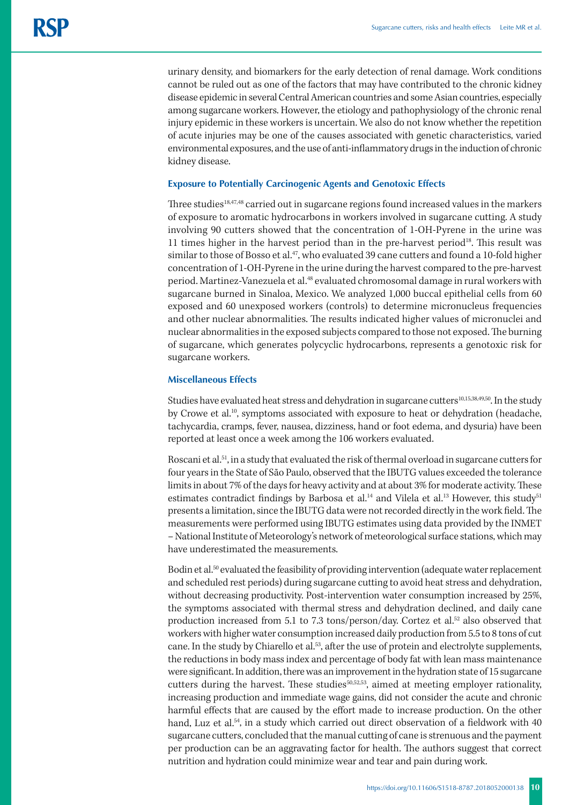urinary density, and biomarkers for the early detection of renal damage. Work conditions cannot be ruled out as one of the factors that may have contributed to the chronic kidney disease epidemic in several Central American countries and some Asian countries, especially among sugarcane workers. However, the etiology and pathophysiology of the chronic renal injury epidemic in these workers is uncertain. We also do not know whether the repetition of acute injuries may be one of the causes associated with genetic characteristics, varied environmental exposures, and the use of anti-inflammatory drugs in the induction of chronic kidney disease.

### **Exposure to Potentially Carcinogenic Agents and Genotoxic Effects**

Three studies<sup>18,47,48</sup> carried out in sugarcane regions found increased values in the markers of exposure to aromatic hydrocarbons in workers involved in sugarcane cutting. A study involving 90 cutters showed that the concentration of 1-OH-Pyrene in the urine was 11 times higher in the harvest period than in the pre-harvest period<sup>18</sup>. This result was similar to those of Bosso et al.<sup>47</sup>, who evaluated 39 cane cutters and found a 10-fold higher concentration of 1-OH-Pyrene in the urine during the harvest compared to the pre-harvest period. Martinez-Vanezuela et al.48 evaluated chromosomal damage in rural workers with sugarcane burned in Sinaloa, Mexico. We analyzed 1,000 buccal epithelial cells from 60 exposed and 60 unexposed workers (controls) to determine micronucleus frequencies and other nuclear abnormalities. The results indicated higher values of micronuclei and nuclear abnormalities in the exposed subjects compared to those not exposed. The burning of sugarcane, which generates polycyclic hydrocarbons, represents a genotoxic risk for sugarcane workers.

## **Miscellaneous Effects**

Studies have evaluated heat stress and dehydration in sugarcane cutters<sup>10,15,38,49,50</sup>. In the study by Crowe et al.<sup>10</sup>, symptoms associated with exposure to heat or dehydration (headache, tachycardia, cramps, fever, nausea, dizziness, hand or foot edema, and dysuria) have been reported at least once a week among the 106 workers evaluated.

Roscani et al.51, in a study that evaluated the risk of thermal overload in sugarcane cutters for four years in the State of São Paulo, observed that the IBUTG values exceeded the tolerance limits in about 7% of the days for heavy activity and at about 3% for moderate activity. These estimates contradict findings by Barbosa et al.<sup>14</sup> and Vilela et al.<sup>13</sup> However, this study<sup>51</sup> presents a limitation, since the IBUTG data were not recorded directly in the work field. The measurements were performed using IBUTG estimates using data provided by the INMET – National Institute of Meteorology's network of meteorological surface stations, which may have underestimated the measurements.

Bodin et al.50 evaluated the feasibility of providing intervention (adequate water replacement and scheduled rest periods) during sugarcane cutting to avoid heat stress and dehydration, without decreasing productivity. Post-intervention water consumption increased by 25%, the symptoms associated with thermal stress and dehydration declined, and daily cane production increased from 5.1 to 7.3 tons/person/day. Cortez et al.<sup>52</sup> also observed that workers with higher water consumption increased daily production from 5.5 to 8 tons of cut cane. In the study by Chiarello et al.53, after the use of protein and electrolyte supplements, the reductions in body mass index and percentage of body fat with lean mass maintenance were significant. In addition, there was an improvement in the hydration state of 15 sugarcane cutters during the harvest. These studies<sup>50,52,53</sup>, aimed at meeting employer rationality, increasing production and immediate wage gains, did not consider the acute and chronic harmful effects that are caused by the effort made to increase production. On the other hand, Luz et al.<sup>54</sup>, in a study which carried out direct observation of a fieldwork with 40 sugarcane cutters, concluded that the manual cutting of cane is strenuous and the payment per production can be an aggravating factor for health. The authors suggest that correct nutrition and hydration could minimize wear and tear and pain during work.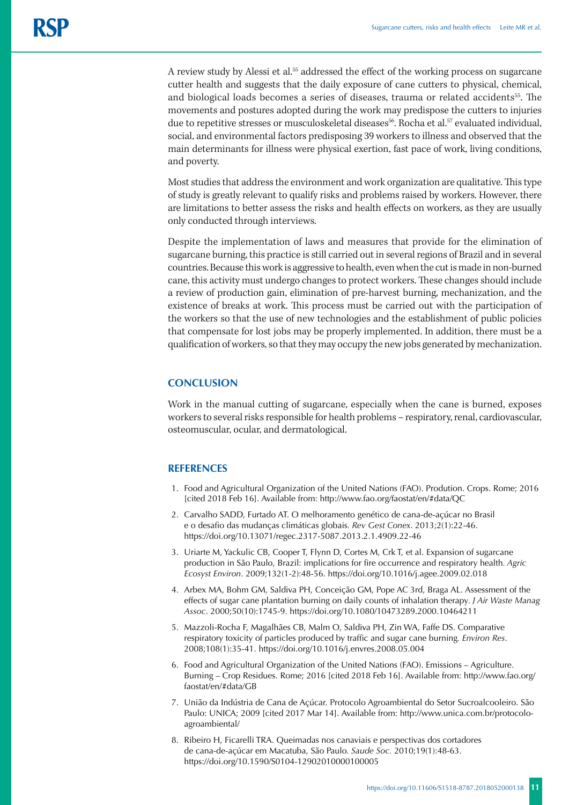A review study by Alessi et al.<sup>55</sup> addressed the effect of the working process on sugarcane cutter health and suggests that the daily exposure of cane cutters to physical, chemical, and biological loads becomes a series of diseases, trauma or related accidents<sup>55</sup>. The movements and postures adopted during the work may predispose the cutters to injuries due to repetitive stresses or musculoskeletal diseases<sup>56</sup>. Rocha et al.<sup>57</sup> evaluated individual, social, and environmental factors predisposing 39 workers to illness and observed that the main determinants for illness were physical exertion, fast pace of work, living conditions, and poverty.

Most studies that address the environment and work organization are qualitative. This type of study is greatly relevant to qualify risks and problems raised by workers. However, there are limitations to better assess the risks and health effects on workers, as they are usually only conducted through interviews.

Despite the implementation of laws and measures that provide for the elimination of sugarcane burning, this practice is still carried out in several regions of Brazil and in several countries. Because this work is aggressive to health, even when the cut is made in non-burned cane, this activity must undergo changes to protect workers. These changes should include a review of production gain, elimination of pre-harvest burning, mechanization, and the existence of breaks at work. This process must be carried out with the participation of the workers so that the use of new technologies and the establishment of public policies that compensate for lost jobs may be properly implemented. In addition, there must be a qualification of workers, so that they may occupy the new jobs generated by mechanization.

# **CONCLUSION**

Work in the manual cutting of sugarcane, especially when the cane is burned, exposes workers to several risks responsible for health problems – respiratory, renal, cardiovascular, osteomuscular, ocular, and dermatological.

# **REFERENCES**

- 1. Food and Agricultural Organization of the United Nations (FAO). Prodution. Crops. Rome; 2016 [cited 2018 Feb 16]. Available from: http://www.fao.org/faostat/en/#data/QC
- 2. Carvalho SADD, Furtado AT. O melhoramento genético de cana-de-açúcar no Brasil e o desafio das mudanças climáticas globais*. Rev Gest Conex*. 2013;2(1):22-46. https://doi.org/10.13071/regec.2317-5087.2013.2.1.4909.22-46
- 3. Uriarte M, Yackulic CB, Cooper T, Flynn D, Cortes M, Crk T, et al. Expansion of sugarcane production in São Paulo, Brazil: implications for fire occurrence and respiratory health*. Agric Ecosyst Environ*. 2009;132(1-2):48-56. https://doi.org/10.1016/j.agee.2009.02.018
- 4. Arbex MA, Bohm GM, Saldiva PH, Conceição GM, Pope AC 3rd, Braga AL. Assessment of the effects of sugar cane plantation burning on daily counts of inhalation therapy*. J Air Waste Manag Assoc*. 2000;50(10):1745-9. https://doi.org/10.1080/10473289.2000.10464211
- 5. Mazzoli-Rocha F, Magalhães CB, Malm O, Saldiva PH, Zin WA, Faffe DS. Comparative respiratory toxicity of particles produced by traffic and sugar cane burning*. Environ Res*. 2008;108(1):35-41. https://doi.org/10.1016/j.envres.2008.05.004
- 6. Food and Agricultural Organization of the United Nations (FAO). Emissions Agriculture. Burning – Crop Residues. Rome; 2016 [cited 2018 Feb 16]. Available from: http://www.fao.org/ faostat/en/#data/GB
- 7. União da Indústria de Cana de Açúcar. Protocolo Agroambiental do Setor Sucroalcooleiro. São Paulo: UNICA; 2009 [cited 2017 Mar 14]. Available from: http://www.unica.com.br/protocoloagroambiental/
- 8. Ribeiro H, Ficarelli TRA. Queimadas nos canaviais e perspectivas dos cortadores de cana-de-açúcar em Macatuba, São Paulo*. Saude Soc.* 2010;19(1):48-63. https://doi.org/10.1590/S0104-12902010000100005

**11** https://doi.org/10.11606/S1518-8787.2018052000138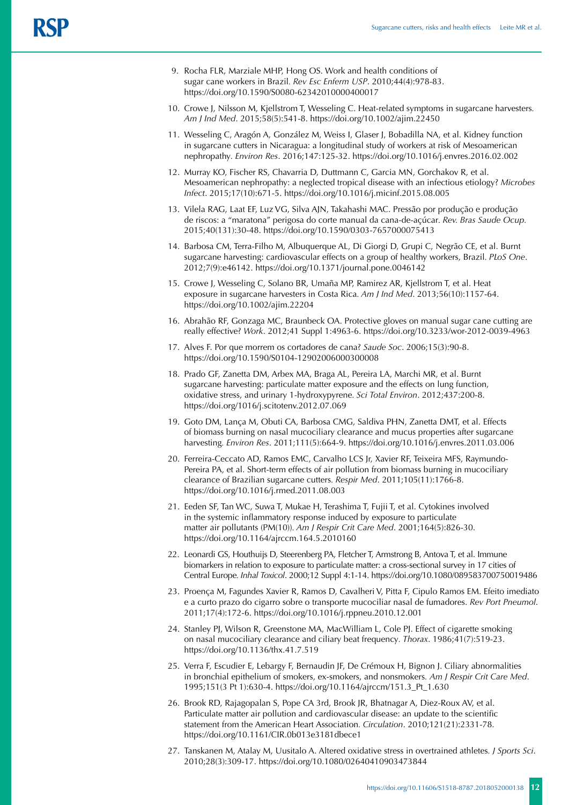- 9. Rocha FLR, Marziale MHP, Hong OS. Work and health conditions of sugar cane workers in Brazil*. Rev Esc Enferm USP*. 2010;44(4):978-83. https://doi.org/10.1590/S0080-62342010000400017
- 10. Crowe J, Nilsson M, Kjellstrom T, Wesseling C. Heat-related symptoms in sugarcane harvesters*. Am J Ind Med*. 2015;58(5):541-8. https://doi.org/10.1002/ajim.22450
- 11. Wesseling C, Aragón A, González M, Weiss I, Glaser J, Bobadilla NA, et al. Kidney function in sugarcane cutters in Nicaragua: a longitudinal study of workers at risk of Mesoamerican nephropathy*. Environ Res*. 2016;147:125-32. https://doi.org/10.1016/j.envres.2016.02.002
- 12. Murray KO, Fischer RS, Chavarria D, Duttmann C, Garcia MN, Gorchakov R, et al. Mesoamerican nephropathy: a neglected tropical disease with an infectious etiology? *Microbes Infect*. 2015;17(10):671-5. https://doi.org/10.1016/j.micinf.2015.08.005
- 13. Vilela RAG, Laat EF, Luz VG, Silva AJN, Takahashi MAC. Pressão por produção e produção de riscos: a "maratona" perigosa do corte manual da cana-de-açúcar*. Rev. Bras Saude Ocup.* 2015;40(131):30-48. https://doi.org/10.1590/0303-7657000075413
- 14. Barbosa CM, Terra-Filho M, Albuquerque AL, Di Giorgi D, Grupi C, Negrão CE, et al. Burnt sugarcane harvesting: cardiovascular effects on a group of healthy workers, Brazil*. PLoS One*. 2012;7(9):e46142. https://doi.org/10.1371/journal.pone.0046142
- 15. Crowe J, Wesseling C, Solano BR, Umaña MP, Ramirez AR, Kjellstrom T, et al. Heat exposure in sugarcane harvesters in Costa Rica*. Am J Ind Med*. 2013;56(10):1157-64. https://doi.org/10.1002/ajim.22204
- 16. Abrahão RF, Gonzaga MC, Braunbeck OA. Protective gloves on manual sugar cane cutting are really effective? *Work*. 2012;41 Suppl 1:4963-6. https://doi.org/10.3233/wor-2012-0039-4963
- 17. Alves F. Por que morrem os cortadores de cana? *Saude Soc*. 2006;15(3):90-8. https://doi.org/10.1590/S0104-12902006000300008
- 18. Prado GF, Zanetta DM, Arbex MA, Braga AL, Pereira LA, Marchi MR, et al. Burnt sugarcane harvesting: particulate matter exposure and the effects on lung function, oxidative stress, and urinary 1-hydroxypyrene*. Sci Total Environ*. 2012;437:200-8. https://doi.org/1016/j.scitotenv.2012.07.069
- 19. Goto DM, Lança M, Obuti CA, Barbosa CMG, Saldiva PHN, Zanetta DMT, et al. Effects of biomass burning on nasal mucociliary clearance and mucus properties after sugarcane harvesting*. Environ Res*. 2011;111(5):664-9. https://doi.org/10.1016/j.envres.2011.03.006
- 20. Ferreira-Ceccato AD, Ramos EMC, Carvalho LCS Jr, Xavier RF, Teixeira MFS, Raymundo-Pereira PA, et al. Short-term effects of air pollution from biomass burning in mucociliary clearance of Brazilian sugarcane cutters*. Respir Med*. 2011;105(11):1766-8. https://doi.org/10.1016/j.rmed.2011.08.003
- 21. Eeden SF, Tan WC, Suwa T, Mukae H, Terashima T, Fujii T, et al. Cytokines involved in the systemic inflammatory response induced by exposure to particulate matter air pollutants (PM(10))*. Am J Respir Crit Care Med*. 2001;164(5):826-30. https://doi.org/10.1164/ajrccm.164.5.2010160
- 22. Leonardi GS, Houthuijs D, Steerenberg PA, Fletcher T, Armstrong B, Antova T, et al. Immune biomarkers in relation to exposure to particulate matter: a cross-sectional survey in 17 cities of Central Europe*. Inhal Toxicol*. 2000;12 Suppl 4:1-14. https://doi.org/10.1080/089583700750019486
- 23. Proença M, Fagundes Xavier R, Ramos D, Cavalheri V, Pitta F, Cipulo Ramos EM. Efeito imediato e a curto prazo do cigarro sobre o transporte mucociliar nasal de fumadores. *Rev Port Pneumol*. 2011;17(4):172-6. https://doi.org/10.1016/j.rppneu.2010.12.001
- 24. Stanley PJ, Wilson R, Greenstone MA, MacWilliam L, Cole PJ. Effect of cigarette smoking on nasal mucociliary clearance and ciliary beat frequency*. Thorax*. 1986;41(7):519-23. https://doi.org/10.1136/thx.41.7.519
- 25. Verra F, Escudier E, Lebargy F, Bernaudin JF, De Crémoux H, Bignon J. Ciliary abnormalities in bronchial epithelium of smokers, ex-smokers, and nonsmokers*. Am J Respir Crit Care Med*. 1995;151(3 Pt 1):630-4. https://doi.org/10.1164/ajrccm/151.3\_Pt\_1.630
- 26. Brook RD, Rajagopalan S, Pope CA 3rd, Brook JR, Bhatnagar A, Diez-Roux AV, et al. Particulate matter air pollution and cardiovascular disease: an update to the scientific statement from the American Heart Association*. Circulation*. 2010;121(21):2331-78. https://doi.org/10.1161/CIR.0b013e3181dbece1
- 27. Tanskanen M, Atalay M, Uusitalo A. Altered oxidative stress in overtrained athletes*. J Sports Sci*. 2010;28(3):309-17. https://doi.org/10.1080/02640410903473844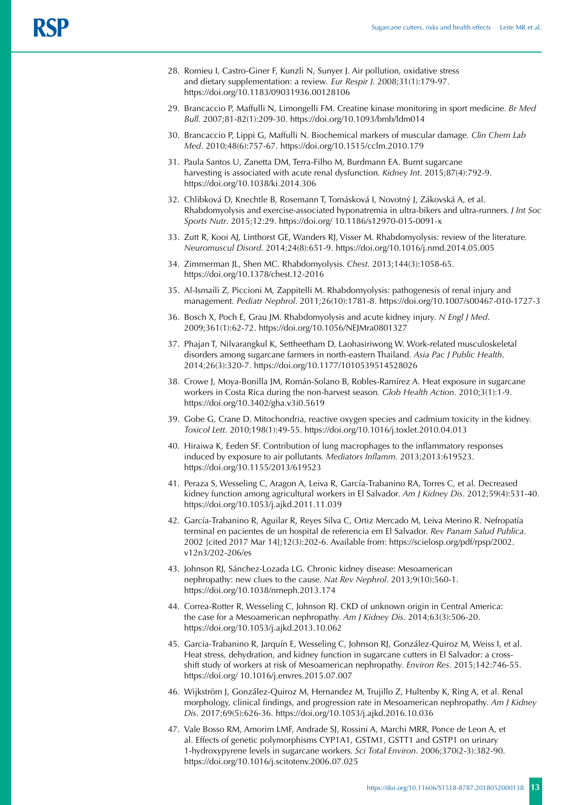- 28. Romieu I, Castro-Giner F, Kunzli N, Sunyer J. Air pollution, oxidative stress and dietary supplementation: a review*. Eur Respir J*. 2008;31(1):179-97. https://doi.org/10.1183/09031936.00128106
- 29. Brancaccio P, Maffulli N, Limongelli FM. Creatine kinase monitoring in sport medicine*. Br Med Bull*. 2007;81-82(1):209-30. https://doi.org/10.1093/bmb/ldm014
- 30. Brancaccio P, Lippi G, Maffulli N. Biochemical markers of muscular damage*. Clin Chem Lab Med*. 2010;48(6):757-67. https://doi.org/10.1515/cclm.2010.179
- 31. Paula Santos U, Zanetta DM, Terra-Filho M, Burdmann EA. Burnt sugarcane harvesting is associated with acute renal dysfunction*. Kidney Int*. 2015;87(4):792-9. https://doi.org/10.1038/ki.2014.306
- 32. Chlibková D, Knechtle B, Rosemann T, Tomásková I, Novotný J, Zákovská A, et al. Rhabdomyolysis and exercise-associated hyponatremia in ultra-bikers and ultra-runners*. J Int Soc Sports Nutr*. 2015;12:29. https://doi.org/ 10.1186/s12970-015-0091-x
- 33. Zutt R, Kooi AJ, Linthorst GE, Wanders RJ, Visser M. Rhabdomyolysis: review of the literature*. Neuromuscul Disord*. 2014;24(8):651-9. https://doi.org/10.1016/j.nmd.2014.05.005
- 34. Zimmerman JL, Shen MC. Rhabdomyolysis*. Chest*. 2013;144(3):1058-65. https://doi.org/10.1378/chest.12-2016
- 35. Al-Ismaili Z, Piccioni M, Zappitelli M. Rhabdomyolysis: pathogenesis of renal injury and management*. Pediatr Nephrol*. 2011;26(10):1781-8. https://doi.org/10.1007/s00467-010-1727-3
- 36. Bosch X, Poch E, Grau JM. Rhabdomyolysis and acute kidney injury*. N Engl J Med*. 2009;361(1):62-72. https://doi.org/10.1056/NEJMra0801327
- 37. Phajan T, Nilvarangkul K, Settheetham D, Laohasiriwong W. Work-related musculoskeletal disorders among sugarcane farmers in north-eastern Thailand*. Asia Pac J Public Health*. 2014;26(3):320-7. https://doi.org/10.1177/1010539514528026
- 38. Crowe J, Moya-Bonilla JM, Román-Solano B, Robles-Ramírez A. Heat exposure in sugarcane workers in Costa Rica during the non-harvest season*. Glob Health Action*. 2010;3(1):1-9. https://doi.org/10.3402/gha.v3i0.5619
- 39. Gobe G, Crane D. Mitochondria, reactive oxygen species and cadmium toxicity in the kidney*. Toxicol Lett*. 2010;198(1):49-55. https://doi.org/10.1016/j.toxlet.2010.04.013
- 40. Hiraiwa K, Eeden SF. Contribution of lung macrophages to the inflammatory responses induced by exposure to air pollutants*. Mediators Inflamm*. 2013;2013:619523. https://doi.org/10.1155/2013/619523
- 41. Peraza S, Wesseling C, Aragon A, Leiva R, García-Trabanino RA, Torres C, et al. Decreased kidney function among agricultural workers in El Salvador*. Am J Kidney Dis*. 2012;59(4):531-40. https://doi.org/10.1053/j.ajkd.2011.11.039
- 42. García-Trabanino R, Aguilar R, Reyes Silva C, Ortiz Mercado M, Leiva Merino R. Nefropatía terminal en pacientes de un hospital de referencia em El Salvador. *Rev Panam Salud Publica*. 2002 [cited 2017 Mar 14];12(3):202-6. Available from: https://scielosp.org/pdf/rpsp/2002. v12n3/202-206/es
- 43. Johnson RJ, Sánchez-Lozada LG. Chronic kidney disease: Mesoamerican nephropathy: new clues to the cause*. Nat Rev Nephrol*. 2013;9(10):560-1. https://doi.org/10.1038/nrneph.2013.174
- 44. Correa-Rotter R, Wesseling C, Johnson RJ. CKD of unknown origin in Central America: the case for a Mesoamerican nephropathy*. Am J Kidney Dis*. 2014;63(3):506-20. https://doi.org/10.1053/j.ajkd.2013.10.062
- 45. Garcia-Trabanino R, Jarquín E, Wesseling C, Johnson RJ, González-Quiroz M, Weiss I, et al. Heat stress, dehydration, and kidney function in sugarcane cutters in El Salvador: a crossshift study of workers at risk of Mesoamerican nephropathy*. Environ Res*. 2015;142:746-55. https://doi.org/ 10.1016/j.envres.2015.07.007
- 46. Wijkström J, González-Quiroz M, Hernandez M, Trujillo Z, Hultenby K, Ring A, et al. Renal morphology, clinical findings, and progression rate in Mesoamerican nephropathy*. Am J Kidney Dis*. 2017;69(5):626-36. https://doi.org/10.1053/j.ajkd.2016.10.036
- 47. Vale Bosso RM, Amorim LMF, Andrade SJ, Rossini A, Marchi MRR, Ponce de Leon A, et al. Effects of genetic polymorphisms CYP1A1, GSTM1, GSTT1 and GSTP1 on urinary 1-hydroxypyrene levels in sugarcane workers*. Sci Total Environ*. 2006;370(2-3):382-90. https://doi.org/10.1016/j.scitotenv.2006.07.025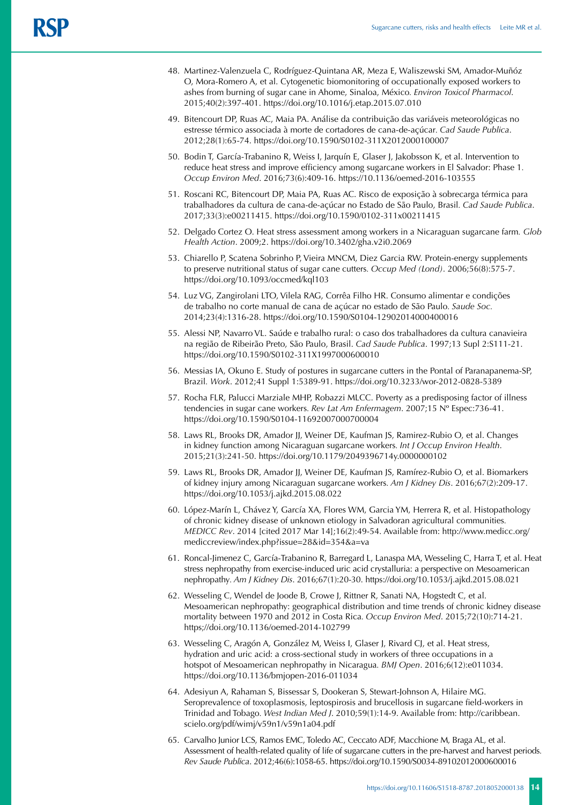- 48. Martinez-Valenzuela C, Rodríguez-Quintana AR, Meza E, Waliszewski SM, Amador-Muñóz O, Mora-Romero A, et al. Cytogenetic biomonitoring of occupationally exposed workers to ashes from burning of sugar cane in Ahome, Sinaloa, México*. Environ Toxicol Pharmacol*. 2015;40(2):397-401. https://doi.org/10.1016/j.etap.2015.07.010
- 49. Bitencourt DP, Ruas AC, Maia PA. Análise da contribuição das variáveis meteorológicas no estresse térmico associada à morte de cortadores de cana-de-açúcar*. Cad Saude Publica*. 2012;28(1):65-74. https://doi.org/10.1590/S0102-311X2012000100007
- 50. Bodin T, García-Trabanino R, Weiss I, Jarquín E, Glaser J, Jakobsson K, et al. Intervention to reduce heat stress and improve efficiency among sugarcane workers in El Salvador: Phase 1*. Occup Environ Med*. 2016;73(6):409-16. https://10.1136/oemed-2016-103555
- 51. Roscani RC, Bitencourt DP, Maia PA, Ruas AC. Risco de exposição à sobrecarga térmica para trabalhadores da cultura de cana-de-açúcar no Estado de São Paulo, Brasil*. Cad Saude Publica*. 2017;33(3):e00211415. https://doi.org/10.1590/0102-311x00211415
- 52. Delgado Cortez O. Heat stress assessment among workers in a Nicaraguan sugarcane farm*. Glob Health Action*. 2009;2. https://doi.org/10.3402/gha.v2i0.2069
- 53. Chiarello P, Scatena Sobrinho P, Vieira MNCM, Diez Garcia RW. Protein-energy supplements to preserve nutritional status of sugar cane cutters*. Occup Med (Lond)*. 2006;56(8):575-7. https://doi.org/10.1093/occmed/kql103
- 54. Luz VG, Zangirolani LTO, Vilela RAG, Corrêa Filho HR. Consumo alimentar e condições de trabalho no corte manual de cana de açúcar no estado de São Paulo*. Saude Soc.* 2014;23(4):1316-28. https://doi.org/10.1590/S0104-12902014000400016
- 55. Alessi NP, Navarro VL. Saúde e trabalho rural: o caso dos trabalhadores da cultura canavieira na região de Ribeirão Preto, São Paulo, Brasil. *Cad Saude Publica*. 1997;13 Supl 2:S111-21. https://doi.org/10.1590/S0102-311X1997000600010
- 56. Messias IA, Okuno E. Study of postures in sugarcane cutters in the Pontal of Paranapanema-SP, Brazil*. Work*. 2012;41 Suppl 1:5389-91. https://doi.org/10.3233/wor-2012-0828-5389
- 57. Rocha FLR, Palucci Marziale MHP, Robazzi MLCC. Poverty as a predisposing factor of illness tendencies in sugar cane workers*. Rev Lat Am Enfermagem*. 2007;15 Nº Espec:736-41. https://doi.org/10.1590/S0104-11692007000700004
- 58. Laws RL, Brooks DR, Amador JJ, Weiner DE, Kaufman JS, Ramirez-Rubio O, et al. Changes in kidney function among Nicaraguan sugarcane workers*. Int J Occup Environ Health*. 2015;21(3):241-50. https://doi.org/10.1179/2049396714y.0000000102
- 59. Laws RL, Brooks DR, Amador JJ, Weiner DE, Kaufman JS, Ramírez-Rubio O, et al. Biomarkers of kidney injury among Nicaraguan sugarcane workers*. Am J Kidney Dis*. 2016;67(2):209-17. https://doi.org/10.1053/j.ajkd.2015.08.022
- 60. López-Marín L, Chávez Y, García XA, Flores WM, Garcia YM, Herrera R, et al. Histopathology of chronic kidney disease of unknown etiology in Salvadoran agricultural communities*. MEDICC Rev*. 2014 [cited 2017 Mar 14];16(2):49-54. Available from: http://www.medicc.org/ mediccreview/index.php?issue=28&id=354&a=va
- 61. Roncal-Jimenez C, García-Trabanino R, Barregard L, Lanaspa MA, Wesseling C, Harra T, et al. Heat stress nephropathy from exercise-induced uric acid crystalluria: a perspective on Mesoamerican nephropathy*. Am J Kidney Dis*. 2016;67(1):20-30. https://doi.org/10.1053/j.ajkd.2015.08.021
- 62. Wesseling C, Wendel de Joode B, Crowe J, Rittner R, Sanati NA, Hogstedt C, et al. Mesoamerican nephropathy: geographical distribution and time trends of chronic kidney disease mortality between 1970 and 2012 in Costa Rica*. Occup Environ Med*. 2015;72(10):714-21. https;//doi.org/10.1136/oemed-2014-102799
- 63. Wesseling C, Aragón A, González M, Weiss I, Glaser J, Rivard CJ, et al. Heat stress, hydration and uric acid: a cross-sectional study in workers of three occupations in a hotspot of Mesoamerican nephropathy in Nicaragua*. BMJ Open*. 2016;6(12):e011034. https://doi.org/10.1136/bmjopen-2016-011034
- 64. Adesiyun A, Rahaman S, Bissessar S, Dookeran S, Stewart-Johnson A, Hilaire MG. Seroprevalence of toxoplasmosis, leptospirosis and brucellosis in sugarcane field-workers in Trinidad and Tobago*. West Indian Med J*. 2010;59(1):14-9. Available from: http://caribbean. scielo.org/pdf/wimj/v59n1/v59n1a04.pdf
- 65. Carvalho Junior LCS, Ramos EMC, Toledo AC, Ceccato ADF, Macchione M, Braga AL, et al. Assessment of health-related quality of life of sugarcane cutters in the pre-harvest and harvest periods*. Rev Saude Publica*. 2012;46(6):1058-65. https://doi.org/10.1590/S0034-89102012000600016